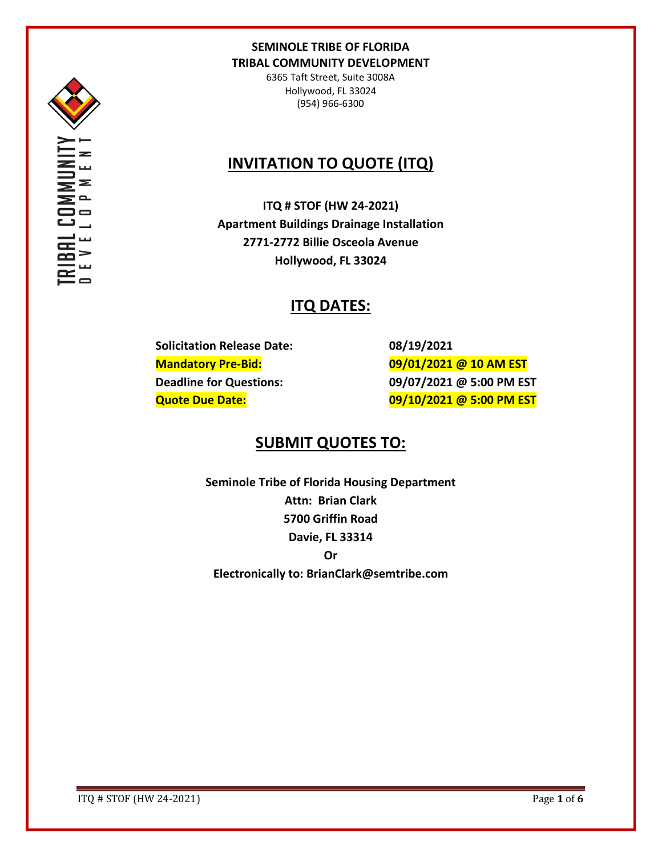

6365 Taft Street, Suite 3008A Hollywood, FL 33024 (954) 966-6300

# **INVITATION TO QUOTE (ITQ)**

**ITQ # STOF (HW 24-2021) Apartment Buildings Drainage Installation 2771-2772 Billie Osceola Avenue Hollywood, FL 33024**

# **ITQ DATES:**

**Solicitation Release Date: 08/19/2021**

**Mandatory Pre-Bid: 09/01/2021 @ 10 AM EST Deadline for Questions: 09/07/2021 @ 5:00 PM EST Quote Due Date: 09/10/2021 @ 5:00 PM EST**

# **SUBMIT QUOTES TO:**

**Seminole Tribe of Florida Housing Department Attn: Brian Clark 5700 Griffin Road Davie, FL 33314 Or Electronically to: BrianClark@semtribe.com** 

ITQ # STOF (HW 24-2021) Page **1** of **6**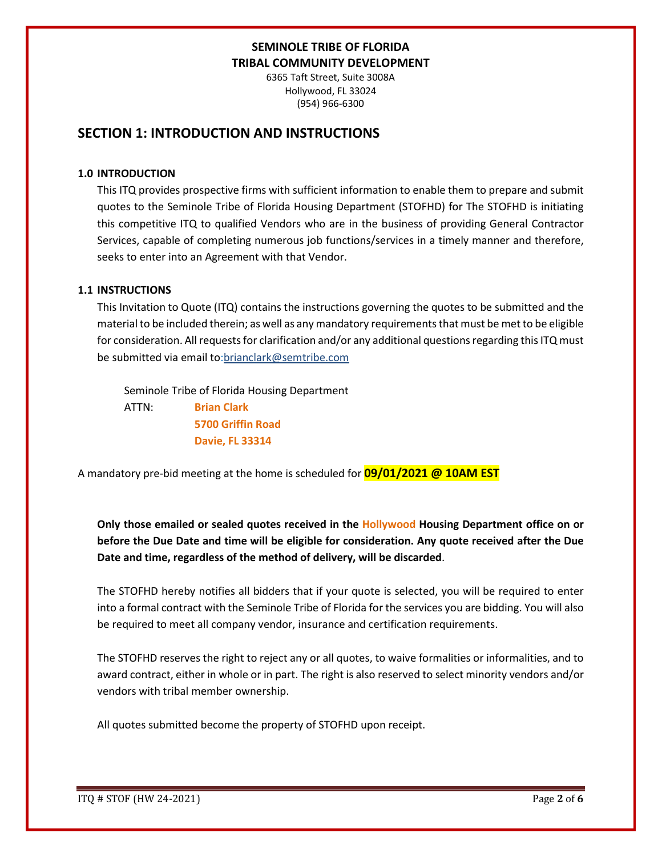6365 Taft Street, Suite 3008A Hollywood, FL 33024 (954) 966-6300

## **SECTION 1: INTRODUCTION AND INSTRUCTIONS**

#### **1.0 INTRODUCTION**

This ITQ provides prospective firms with sufficient information to enable them to prepare and submit quotes to the Seminole Tribe of Florida Housing Department (STOFHD) for The STOFHD is initiating this competitive ITQ to qualified Vendors who are in the business of providing General Contractor Services, capable of completing numerous job functions/services in a timely manner and therefore, seeks to enter into an Agreement with that Vendor.

### **1.1 INSTRUCTIONS**

This Invitation to Quote (ITQ) contains the instructions governing the quotes to be submitted and the material to be included therein; as well as any mandatory requirements that must be met to be eligible for consideration. All requests for clarification and/or any additional questions regarding this ITQ must be submitted via email to:brianclark@semtribe.com

Seminole Tribe of Florida Housing Department

 ATTN: **Brian Clark 5700 Griffin Road Davie, FL 33314**

A mandatory pre-bid meeting at the home is scheduled for **09/01/2021 @ 10AM EST**

**Only those emailed or sealed quotes received in the Hollywood Housing Department office on or before the Due Date and time will be eligible for consideration. Any quote received after the Due Date and time, regardless of the method of delivery, will be discarded**.

The STOFHD hereby notifies all bidders that if your quote is selected, you will be required to enter into a formal contract with the Seminole Tribe of Florida for the services you are bidding. You will also be required to meet all company vendor, insurance and certification requirements.

The STOFHD reserves the right to reject any or all quotes, to waive formalities or informalities, and to award contract, either in whole or in part. The right is also reserved to select minority vendors and/or vendors with tribal member ownership.

All quotes submitted become the property of STOFHD upon receipt.

ITQ # STOF (HW 24-2021) Page **2** of **6**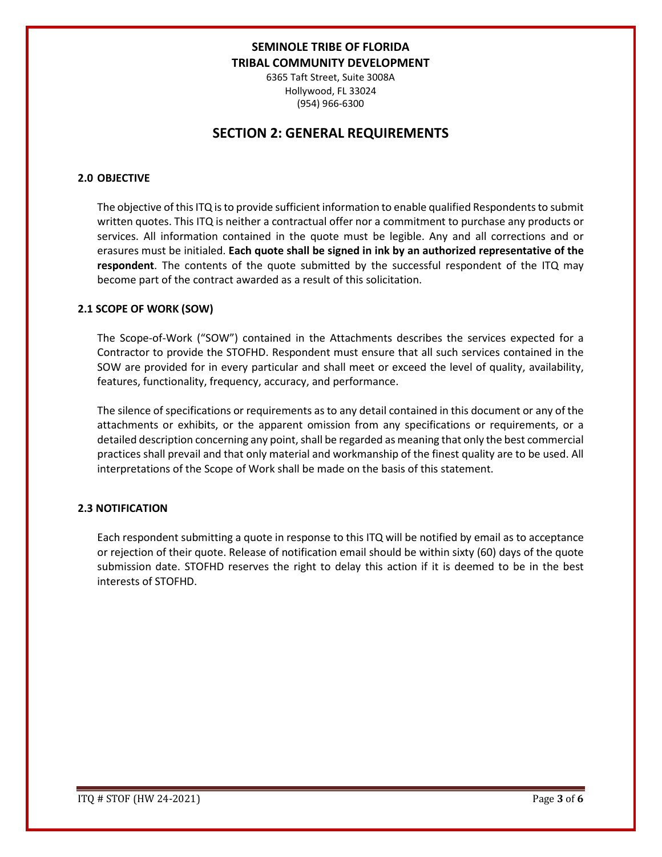6365 Taft Street, Suite 3008A Hollywood, FL 33024 (954) 966-6300

## **SECTION 2: GENERAL REQUIREMENTS**

### **2.0 OBJECTIVE**

The objective of this ITQ is to provide sufficient information to enable qualified Respondents to submit written quotes. This ITQ is neither a contractual offer nor a commitment to purchase any products or services. All information contained in the quote must be legible. Any and all corrections and or erasures must be initialed. **Each quote shall be signed in ink by an authorized representative of the respondent**. The contents of the quote submitted by the successful respondent of the ITQ may become part of the contract awarded as a result of this solicitation.

#### **2.1 SCOPE OF WORK (SOW)**

The Scope-of-Work ("SOW") contained in the Attachments describes the services expected for a Contractor to provide the STOFHD. Respondent must ensure that all such services contained in the SOW are provided for in every particular and shall meet or exceed the level of quality, availability, features, functionality, frequency, accuracy, and performance.

The silence of specifications or requirements as to any detail contained in this document or any of the attachments or exhibits, or the apparent omission from any specifications or requirements, or a detailed description concerning any point, shall be regarded as meaning that only the best commercial practices shall prevail and that only material and workmanship of the finest quality are to be used. All interpretations of the Scope of Work shall be made on the basis of this statement.

### **2.3 NOTIFICATION**

Each respondent submitting a quote in response to this ITQ will be notified by email as to acceptance or rejection of their quote. Release of notification email should be within sixty (60) days of the quote submission date. STOFHD reserves the right to delay this action if it is deemed to be in the best interests of STOFHD.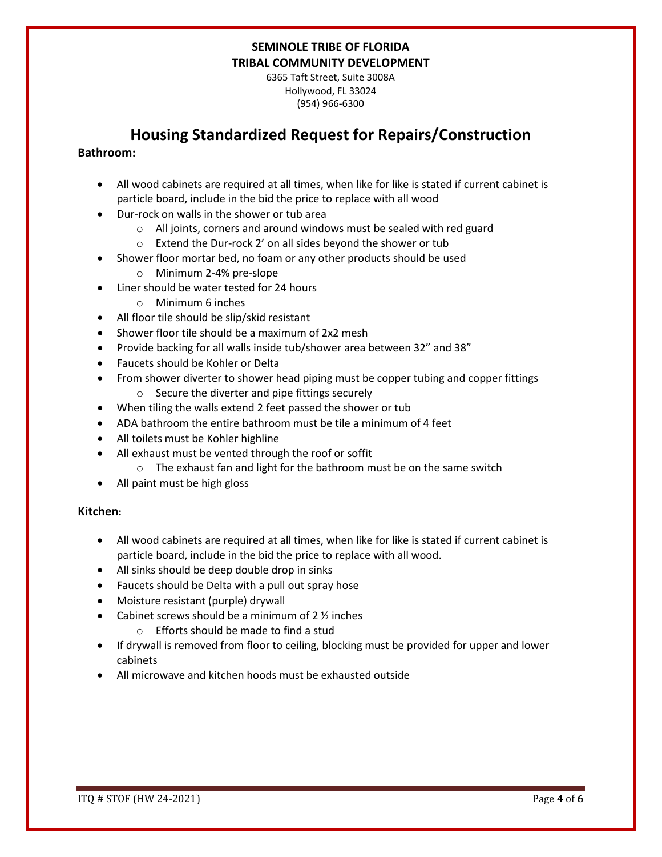6365 Taft Street, Suite 3008A Hollywood, FL 33024 (954) 966-6300

# **Housing Standardized Request for Repairs/Construction**

### **Bathroom:**

- All wood cabinets are required at all times, when like for like is stated if current cabinet is particle board, include in the bid the price to replace with all wood
- Dur-rock on walls in the shower or tub area
	- o All joints, corners and around windows must be sealed with red guard
	- o Extend the Dur-rock 2' on all sides beyond the shower or tub
- Shower floor mortar bed, no foam or any other products should be used
	- o Minimum 2-4% pre-slope
- Liner should be water tested for 24 hours
	- o Minimum 6 inches
- All floor tile should be slip/skid resistant
- Shower floor tile should be a maximum of 2x2 mesh
- Provide backing for all walls inside tub/shower area between 32" and 38"
- Faucets should be Kohler or Delta
- From shower diverter to shower head piping must be copper tubing and copper fittings o Secure the diverter and pipe fittings securely
- When tiling the walls extend 2 feet passed the shower or tub
- ADA bathroom the entire bathroom must be tile a minimum of 4 feet
- All toilets must be Kohler highline
- All exhaust must be vented through the roof or soffit
	- o The exhaust fan and light for the bathroom must be on the same switch
- All paint must be high gloss

### **Kitchen:**

- All wood cabinets are required at all times, when like for like is stated if current cabinet is particle board, include in the bid the price to replace with all wood.
- All sinks should be deep double drop in sinks
- Faucets should be Delta with a pull out spray hose
- Moisture resistant (purple) drywall
- Cabinet screws should be a minimum of  $2\frac{1}{2}$  inches
	- o Efforts should be made to find a stud
- If drywall is removed from floor to ceiling, blocking must be provided for upper and lower cabinets
- All microwave and kitchen hoods must be exhausted outside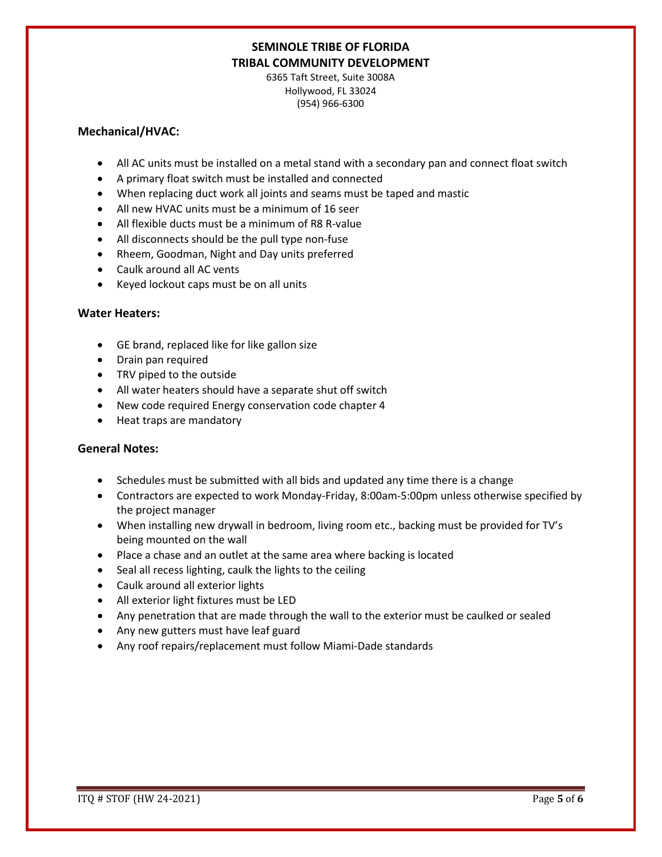6365 Taft Street, Suite 3008A Hollywood, FL 33024 (954) 966-6300

#### **Mechanical/HVAC:**

- All AC units must be installed on a metal stand with a secondary pan and connect float switch
- A primary float switch must be installed and connected
- When replacing duct work all joints and seams must be taped and mastic
- All new HVAC units must be a minimum of 16 seer
- All flexible ducts must be a minimum of R8 R-value
- All disconnects should be the pull type non-fuse
- Rheem, Goodman, Night and Day units preferred
- Caulk around all AC vents
- Keyed lockout caps must be on all units

### **Water Heaters:**

- GE brand, replaced like for like gallon size
- Drain pan required
- TRV piped to the outside
- All water heaters should have a separate shut off switch
- New code required Energy conservation code chapter 4
- Heat traps are mandatory

### **General Notes:**

- Schedules must be submitted with all bids and updated any time there is a change
- Contractors are expected to work Monday-Friday, 8:00am-5:00pm unless otherwise specified by the project manager
- When installing new drywall in bedroom, living room etc., backing must be provided for TV's being mounted on the wall
- Place a chase and an outlet at the same area where backing is located
- Seal all recess lighting, caulk the lights to the ceiling
- Caulk around all exterior lights
- All exterior light fixtures must be LED
- Any penetration that are made through the wall to the exterior must be caulked or sealed
- Any new gutters must have leaf guard
- Any roof repairs/replacement must follow Miami-Dade standards